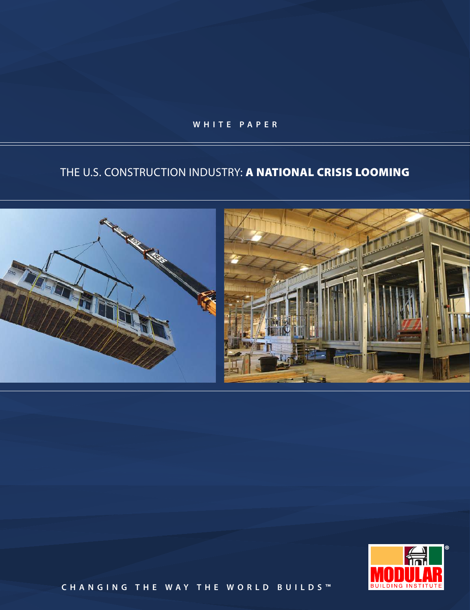**W H I T E P A P E R**

# THE U.S. CONSTRUCTION INDUSTRY: A NATIONAL CRISIS LOOMING





**C H A N G I N G T H E W A Y T H E W O R L D B U I L D S ™**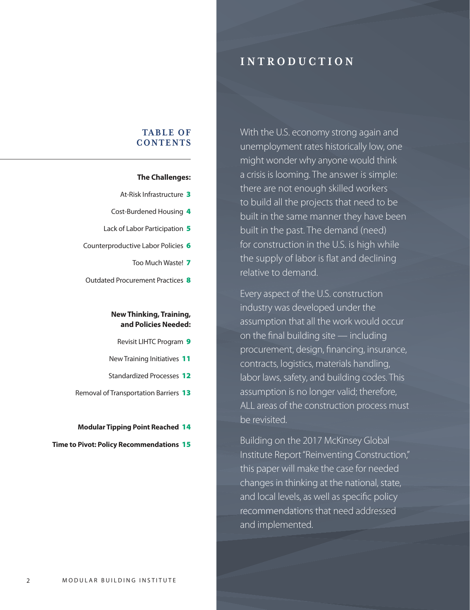## I N T R O D U C T I O N

# With the U.S. economy strong again and unemployment rates historically low, one might wonder why anyone would think a crisis is looming. The answer is simple: there are not enough skilled workers to build all the projects that need to be built in the same manner they have been built in the past. The demand (need) for construction in the U.S. is high while the supply of labor is flat and declining relative to demand.

Every aspect of the U.S. construction industry was developed under the assumption that all the work would occur on the final building site — including procurement, design, financing, insurance, contracts, logistics, materials handling, labor laws, safety, and building codes. This assumption is no longer valid; therefore, ALL areas of the construction process must be revisited.

Building on the 2017 McKinsey Global Institute Report "Reinventing Construction," this paper will make the case for needed changes in thinking at the national, state, and local levels, as well as specific policy recommendations that need addressed and implemented.

## TABLE OF **CONTENTS**

## **The Challenges:**

- At-Risk Infrastructure 3
- Cost-Burdened Housing 4
- Lack of Labor Participation 5
- Counterproductive Labor Policies 6
	- Too Much Waste! 7
- Outdated Procurement Practices 8

## **New Thinking, Training, and Policies Needed:**

- Revisit LIHTC Program 9
- New Training Initiatives 11
- Standardized Processes 12
- Removal of Transportation Barriers 13

#### **Modular Tipping Point Reached** 14

**Time to Pivot: Policy Recommendations** 15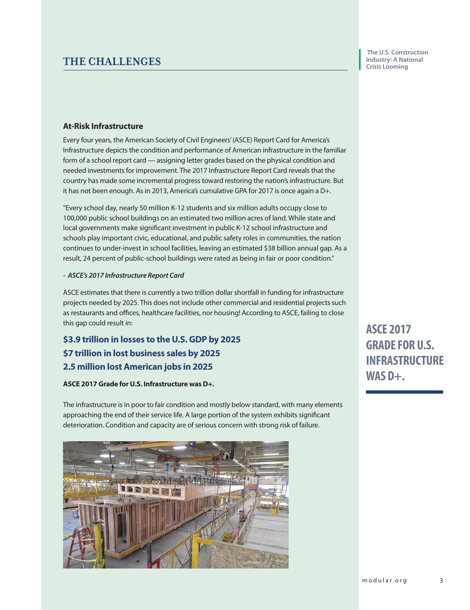## THE CHALLENGES

 **The U.S. Construction Industry: A National Crisis Looming**

## **At-Risk Infrastructure**

Every four years, the American Society of Civil Engineers' (ASCE) Report Card for America's Infrastructure depicts the condition and performance of American infrastructure in the familiar form of a school report card — assigning letter grades based on the physical condition and needed investments for improvement. The 2017 Infrastructure Report Card reveals that the country has made some incremental progress toward restoring the nation's infrastructure. But it has not been enough. As in 2013, America's cumulative GPA for 2017 is once again a D+.

"Every school day, nearly 50 million K-12 students and six million adults occupy close to 100,000 public school buildings on an estimated two million acres of land. While state and local governments make significant investment in public K-12 school infrastructure and schools play important civic, educational, and public safety roles in communities, the nation continues to under-invest in school facilities, leaving an estimated \$38 billion annual gap. As a result, 24 percent of public-school buildings were rated as being in fair or poor condition."

## **- ASCE's 2017 Infrastructure Report Card**

ASCE estimates that there is currently a two trillion dollar shortfall in funding for infrastructure projects needed by 2025. This does not include other commercial and residential projects such as restaurants and offices, healthcare facilities, nor housing! According to ASCE, failing to close this gap could result in:

**\$3.9 trillion in losses to the U.S. GDP by 2025 \$7 trillion in lost business sales by 2025 2.5 million lost American jobs in 2025**

## **ASCE 2017 Grade for U.S. Infrastructure was D+.**

The infrastructure is in poor to fair condition and mostly below standard, with many elements approaching the end of their service life. A large portion of the system exhibits significant deterioration. Condition and capacity are of serious concern with strong risk of failure.



**ASCE 2017 GRADE FOR U.S. INFRASTRUCTURE WAS D+.**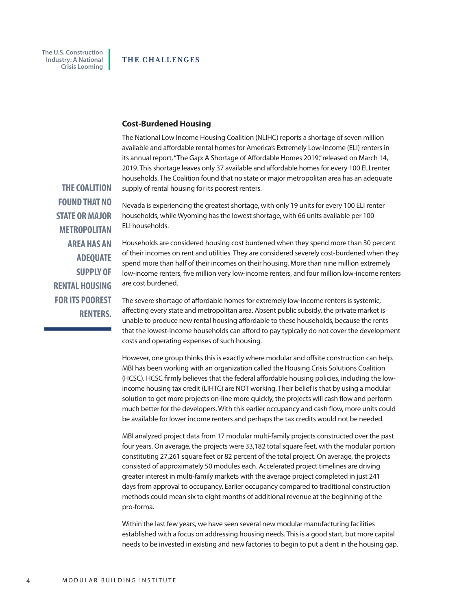#### **Cost-Burdened Housing**

The National Low Income Housing Coalition (NLIHC) reports a shortage of seven million available and affordable rental homes for America's Extremely Low-Income (ELI) renters in its annual report, "The Gap: A Shortage of Affordable Homes 2019," released on March 14, 2019. This shortage leaves only 37 available and affordable homes for every 100 ELI renter households. The Coalition found that no state or major metropolitan area has an adequate supply of rental housing for its poorest renters.

Nevada is experiencing the greatest shortage, with only 19 units for every 100 ELI renter households, while Wyoming has the lowest shortage, with 66 units available per 100 ELI households.

**STATE OR MAJOR METROPOLITAN AREA HAS AN ADEQUATE SUPPLY OF RENTAL HOUSING FOR ITS POOREST RENTERS.**

**THE COALITION FOUND THAT NO** 

> Households are considered housing cost burdened when they spend more than 30 percent of their incomes on rent and utilities. They are considered severely cost-burdened when they spend more than half of their incomes on their housing. More than nine million extremely low-income renters, five million very low-income renters, and four million low-income renters are cost burdened.

> The severe shortage of affordable homes for extremely low-income renters is systemic, affecting every state and metropolitan area. Absent public subsidy, the private market is unable to produce new rental housing affordable to these households, because the rents that the lowest-income households can afford to pay typically do not cover the development costs and operating expenses of such housing.

However, one group thinks this is exactly where modular and offsite construction can help. MBI has been working with an organization called the Housing Crisis Solutions Coalition (HCSC). HCSC firmly believes that the federal affordable housing policies, including the lowincome housing tax credit (LIHTC) are NOT working. Their belief is that by using a modular solution to get more projects on-line more quickly, the projects will cash flow and perform much better for the developers. With this earlier occupancy and cash flow, more units could be available for lower income renters and perhaps the tax credits would not be needed.

MBI analyzed project data from 17 modular multi-family projects constructed over the past four years. On average, the projects were 33,182 total square feet, with the modular portion constituting 27,261 square feet or 82 percent of the total project. On average, the projects consisted of approximately 50 modules each. Accelerated project timelines are driving greater interest in multi-family markets with the average project completed in just 241 days from approval to occupancy. Earlier occupancy compared to traditional construction methods could mean six to eight months of additional revenue at the beginning of the pro-forma.

Within the last few years, we have seen several new modular manufacturing facilities established with a focus on addressing housing needs. This is a good start, but more capital needs to be invested in existing and new factories to begin to put a dent in the housing gap.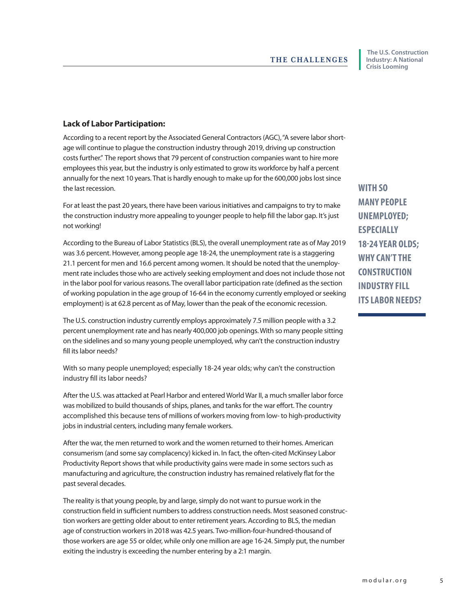## **Lack of Labor Participation:**

According to a recent report by the Associated General Contractors (AGC), "A severe labor shortage will continue to plague the construction industry through 2019, driving up construction costs further." The report shows that 79 percent of construction companies want to hire more employees this year, but the industry is only estimated to grow its workforce by half a percent annually for the next 10 years. That is hardly enough to make up for the 600,000 jobs lost since the last recession.

For at least the past 20 years, there have been various initiatives and campaigns to try to make the construction industry more appealing to younger people to help fill the labor gap. It's just not working!

According to the Bureau of Labor Statistics (BLS), the overall unemployment rate as of May 2019 was 3.6 percent. However, among people age 18-24, the unemployment rate is a staggering 21.1 percent for men and 16.6 percent among women. It should be noted that the unemployment rate includes those who are actively seeking employment and does not include those not in the labor pool for various reasons. The overall labor participation rate (defined as the section of working population in the age group of 16-64 in the economy currently employed or seeking employment) is at 62.8 percent as of May, lower than the peak of the economic recession.

The U.S. construction industry currently employs approximately 7.5 million people with a 3.2 percent unemployment rate and has nearly 400,000 job openings. With so many people sitting on the sidelines and so many young people unemployed, why can't the construction industry fill its labor needs?

With so many people unemployed; especially 18-24 year olds; why can't the construction industry fill its labor needs?

After the U.S. was attacked at Pearl Harbor and entered World War II, a much smaller labor force was mobilized to build thousands of ships, planes, and tanks for the war effort. The country accomplished this because tens of millions of workers moving from low- to high-productivity jobs in industrial centers, including many female workers.

After the war, the men returned to work and the women returned to their homes. American consumerism (and some say complacency) kicked in. In fact, the often-cited McKinsey Labor Productivity Report shows that while productivity gains were made in some sectors such as manufacturing and agriculture, the construction industry has remained relatively flat for the past several decades.

The reality is that young people, by and large, simply do not want to pursue work in the construction field in sufficient numbers to address construction needs. Most seasoned construction workers are getting older about to enter retirement years. According to BLS, the median age of construction workers in 2018 was 42.5 years. Two-million-four-hundred-thousand of those workers are age 55 or older, while only one million are age 16-24. Simply put, the number exiting the industry is exceeding the number entering by a 2:1 margin.

**WITH SO MANY PEOPLE UNEMPLOYED; ESPECIALLY 18-24 YEAR OLDS; WHY CAN'T THE CONSTRUCTION INDUSTRY FILL ITS LABOR NEEDS?**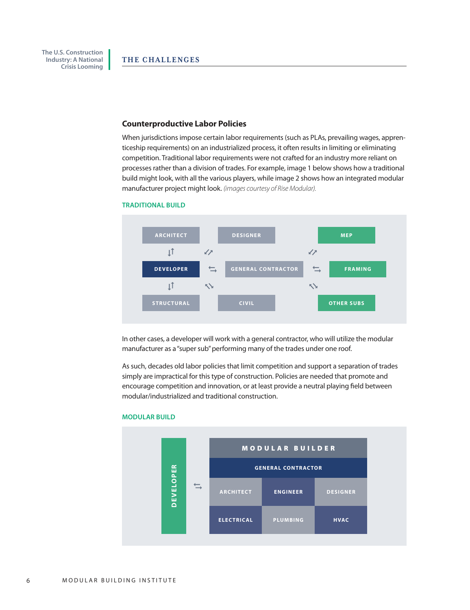**Industry: A National Crisis Looming**

 **The U.S. Construction** 

#### **Counterproductive Labor Policies**

When jurisdictions impose certain labor requirements (such as PLAs, prevailing wages, apprenticeship requirements) on an industrialized process, it often results in limiting or eliminating competition. Traditional labor requirements were not crafted for an industry more reliant on processes rather than a division of trades. For example, image 1 below shows how a traditional build might look, with all the various players, while image 2 shows how an integrated modular manufacturer project might look. *(images courtesy of Rise Modular).*



#### **TRADITIONAL BUILD**

In other cases, a developer will work with a general contractor, who will utilize the modular manufacturer as a "super sub" performing many of the trades under one roof.

As such, decades old labor policies that limit competition and support a separation of trades simply are impractical for this type of construction. Policies are needed that promote and encourage competition and innovation, or at least provide a neutral playing field between modular/industrialized and traditional construction.



### **MODULAR BUILD**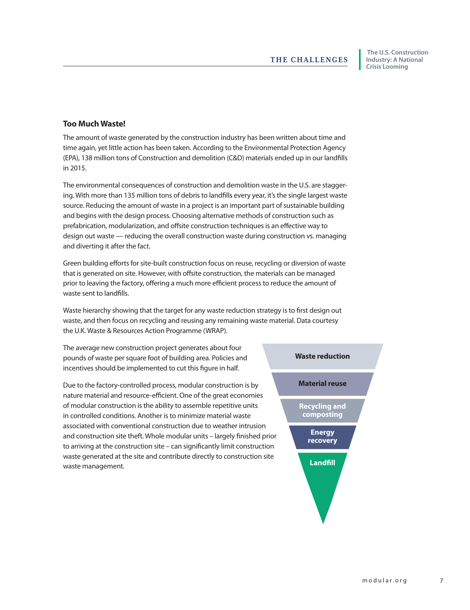## **Too Much Waste!**

The amount of waste generated by the construction industry has been written about time and time again, yet little action has been taken. According to the Environmental Protection Agency (EPA), 138 million tons of Construction and demolition (C&D) materials ended up in our landfills in 2015.

The environmental consequences of construction and demolition waste in the U.S. are staggering. With more than 135 million tons of debris to landfills every year, it's the single largest waste source. Reducing the amount of waste in a project is an important part of sustainable building and begins with the design process. Choosing alternative methods of construction such as prefabrication, modularization, and offsite construction techniques is an effective way to design out waste — reducing the overall construction waste during construction vs. managing and diverting it after the fact.

Green building efforts for site-built construction focus on reuse, recycling or diversion of waste that is generated on site. However, with offsite construction, the materials can be managed prior to leaving the factory, offering a much more efficient process to reduce the amount of waste sent to landfills.

Waste hierarchy showing that the target for any waste reduction strategy is to first design out waste, and then focus on recycling and reusing any remaining waste material. Data courtesy the U.K. Waste & Resources Action Programme (WRAP).

The average new construction project generates about four pounds of waste per square foot of building area. Policies and incentives should be implemented to cut this figure in half.

Due to the factory-controlled process, modular construction is by nature material and resource-efficient. One of the great economies of modular construction is the ability to assemble repetitive units in controlled conditions. Another is to minimize material waste associated with conventional construction due to weather intrusion and construction site theft. Whole modular units – largely finished prior to arriving at the construction site – can significantly limit construction waste generated at the site and contribute directly to construction site waste management.

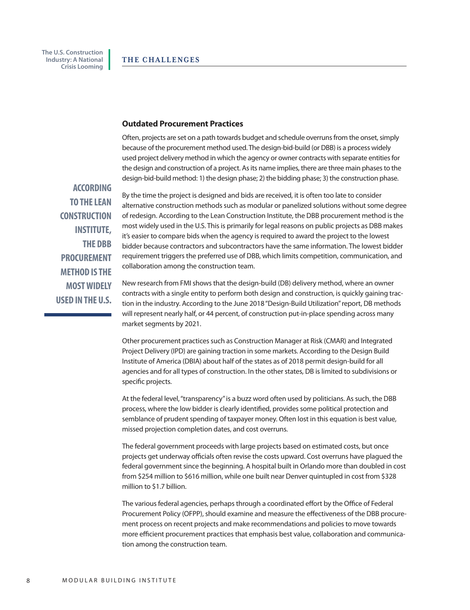### **Outdated Procurement Practices**

Often, projects are set on a path towards budget and schedule overruns from the onset, simply because of the procurement method used. The design-bid-build (or DBB) is a process widely used project delivery method in which the agency or owner contracts with separate entities for the design and construction of a project. As its name implies, there are three main phases to the design-bid-build method: 1) the design phase; 2) the bidding phase; 3) the construction phase.

 **ACCORDING TO THE LEAN CONSTRUCTION INSTITUTE, THE DBB PROCUREMENT METHOD IS THE MOST WIDELY USED IN THE U.S.** 

By the time the project is designed and bids are received, it is often too late to consider alternative construction methods such as modular or panelized solutions without some degree of redesign. According to the Lean Construction Institute, the DBB procurement method is the most widely used in the U.S. This is primarily for legal reasons on public projects as DBB makes it's easier to compare bids when the agency is required to award the project to the lowest bidder because contractors and subcontractors have the same information. The lowest bidder requirement triggers the preferred use of DBB, which limits competition, communication, and collaboration among the construction team.

New research from FMI shows that the design-build (DB) delivery method, where an owner contracts with a single entity to perform both design and construction, is quickly gaining traction in the industry. According to the June 2018 "Design-Build Utilization" report, DB methods will represent nearly half, or 44 percent, of construction put-in-place spending across many market segments by 2021.

Other procurement practices such as Construction Manager at Risk (CMAR) and Integrated Project Delivery (IPD) are gaining traction in some markets. According to the Design Build Institute of America (DBIA) about half of the states as of 2018 permit design-build for all agencies and for all types of construction. In the other states, DB is limited to subdivisions or specific projects.

At the federal level, "transparency" is a buzz word often used by politicians. As such, the DBB process, where the low bidder is clearly identified, provides some political protection and semblance of prudent spending of taxpayer money. Often lost in this equation is best value, missed projection completion dates, and cost overruns.

The federal government proceeds with large projects based on estimated costs, but once projects get underway officials often revise the costs upward. Cost overruns have plagued the federal government since the beginning. A hospital built in Orlando more than doubled in cost from \$254 million to \$616 million, while one built near Denver quintupled in cost from \$328 million to \$1.7 billion.

The various federal agencies, perhaps through a coordinated effort by the Office of Federal Procurement Policy (OFPP), should examine and measure the effectiveness of the DBB procurement process on recent projects and make recommendations and policies to move towards more efficient procurement practices that emphasis best value, collaboration and communication among the construction team.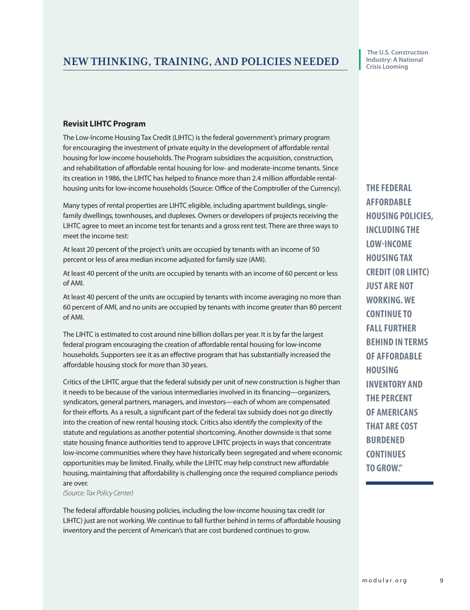## **Revisit LIHTC Program**

The Low-Income Housing Tax Credit (LIHTC) is the federal government's primary program for encouraging the investment of private equity in the development of affordable rental housing for low-income households. The Program subsidizes the acquisition, construction, and rehabilitation of affordable rental housing for low- and moderate-income tenants. Since its creation in 1986, the LIHTC has helped to finance more than 2.4 million affordable rentalhousing units for low-income households (Source: Office of the Comptroller of the Currency).

Many types of rental properties are LIHTC eligible, including apartment buildings, singlefamily dwellings, townhouses, and duplexes. Owners or developers of projects receiving the LIHTC agree to meet an income test for tenants and a gross rent test. There are three ways to meet the income test:

At least 20 percent of the project's units are occupied by tenants with an income of 50 percent or less of area median income adjusted for family size (AMI).

At least 40 percent of the units are occupied by tenants with an income of 60 percent or less of AMI.

At least 40 percent of the units are occupied by tenants with income averaging no more than 60 percent of AMI, and no units are occupied by tenants with income greater than 80 percent of AMI.

The LIHTC is estimated to cost around nine billion dollars per year. It is by far the largest federal program encouraging the creation of affordable rental housing for low-income households. Supporters see it as an effective program that has substantially increased the affordable housing stock for more than 30 years.

Critics of the LIHTC argue that the federal subsidy per unit of new construction is higher than it needs to be because of the various intermediaries involved in its financing—organizers, syndicators, general partners, managers, and investors—each of whom are compensated for their efforts. As a result, a significant part of the federal tax subsidy does not go directly into the creation of new rental housing stock. Critics also identify the complexity of the statute and regulations as another potential shortcoming. Another downside is that some state housing finance authorities tend to approve LIHTC projects in ways that concentrate low-income communities where they have historically been segregated and where economic opportunities may be limited. Finally, while the LIHTC may help construct new affordable housing, maintaining that affordability is challenging once the required compliance periods are over.

*(Source: Tax Policy Center)* 

The federal affordable housing policies, including the low-income housing tax credit (or LIHTC) just are not working. We continue to fall further behind in terms of affordable housing inventory and the percent of American's that are cost burdened continues to grow.

**THE FEDERAL AFFORDABLE HOUSING POLICIES, INCLUDING THE LOW-INCOME HOUSING TAX CREDIT (OR LIHTC) JUST ARE NOT WORKING. WE CONTINUE TO FALL FURTHER BEHIND IN TERMS OF AFFORDABLE HOUSING INVENTORY AND THE PERCENT OF AMERICANS THAT ARE COST BURDENED CONTINUES TO GROW."**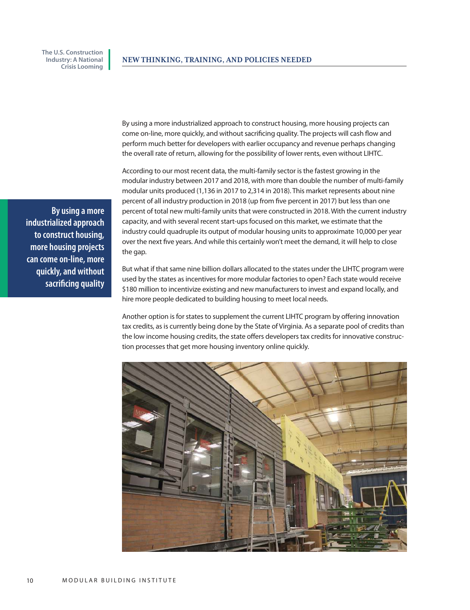> By using a more industrialized approach to construct housing, more housing projects can come on-line, more quickly, and without sacrificing quality. The projects will cash flow and perform much better for developers with earlier occupancy and revenue perhaps changing the overall rate of return, allowing for the possibility of lower rents, even without LIHTC.

According to our most recent data, the multi-family sector is the fastest growing in the modular industry between 2017 and 2018, with more than double the number of multi-family modular units produced (1,136 in 2017 to 2,314 in 2018). This market represents about nine percent of all industry production in 2018 (up from five percent in 2017) but less than one percent of total new multi-family units that were constructed in 2018. With the current industry capacity, and with several recent start-ups focused on this market, we estimate that the industry could quadruple its output of modular housing units to approximate 10,000 per year over the next five years. And while this certainly won't meet the demand, it will help to close the gap.

But what if that same nine billion dollars allocated to the states under the LIHTC program were used by the states as incentives for more modular factories to open? Each state would receive \$180 million to incentivize existing and new manufacturers to invest and expand locally, and hire more people dedicated to building housing to meet local needs.

Another option is for states to supplement the current LIHTC program by offering innovation tax credits, as is currently being done by the State of Virginia. As a separate pool of credits than the low income housing credits, the state offers developers tax credits for innovative construction processes that get more housing inventory online quickly.



**By using a more industrialized approach to construct housing, more housing projects can come on-line, more quickly, and without sacrificing quality**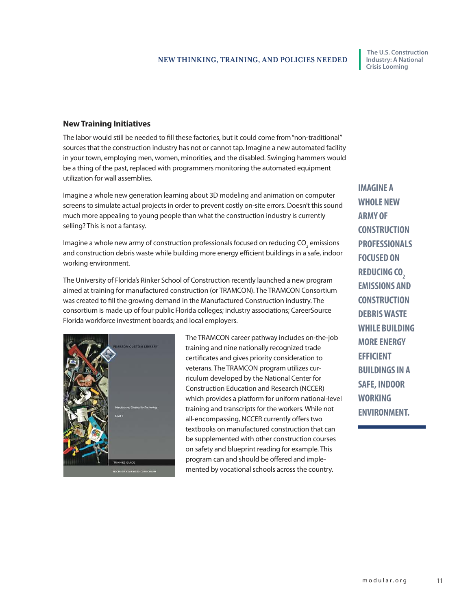## **New Training Initiatives**

The labor would still be needed to fill these factories, but it could come from "non-traditional" sources that the construction industry has not or cannot tap. Imagine a new automated facility in your town, employing men, women, minorities, and the disabled. Swinging hammers would be a thing of the past, replaced with programmers monitoring the automated equipment utilization for wall assemblies.

Imagine a whole new generation learning about 3D modeling and animation on computer screens to simulate actual projects in order to prevent costly on-site errors. Doesn't this sound much more appealing to young people than what the construction industry is currently selling? This is not a fantasy.

Imagine a whole new army of construction professionals focused on reducing CO<sub>2</sub> emissions and construction debris waste while building more energy efficient buildings in a safe, indoor working environment.

The University of Florida's Rinker School of Construction recently launched a new program aimed at training for manufactured construction (or TRAMCON). The TRAMCON Consortium was created to fill the growing demand in the Manufactured Construction industry. The consortium is made up of four public Florida colleges; industry associations; CareerSource Florida workforce investment boards; and local employers.



The TRAMCON career pathway includes on-the-job training and nine nationally recognized trade certificates and gives priority consideration to veterans. The TRAMCON program utilizes curriculum developed by the National Center for Construction Education and Research (NCCER) which provides a platform for uniform national-level training and transcripts for the workers. While not all-encompassing, NCCER currently offers two textbooks on manufactured construction that can be supplemented with other construction courses on safety and blueprint reading for example. This program can and should be offered and implemented by vocational schools across the country.

**IMAGINE A WHOLE NEW ARMY OF CONSTRUCTION PROFESSIONALS FOCUSED ON REDUCING CO<sup>2</sup> EMISSIONS AND CONSTRUCTION DEBRIS WASTE WHILE BUILDING MORE ENERGY EFFICIENT BUILDINGS IN A SAFE, INDOOR WORKING ENVIRONMENT.**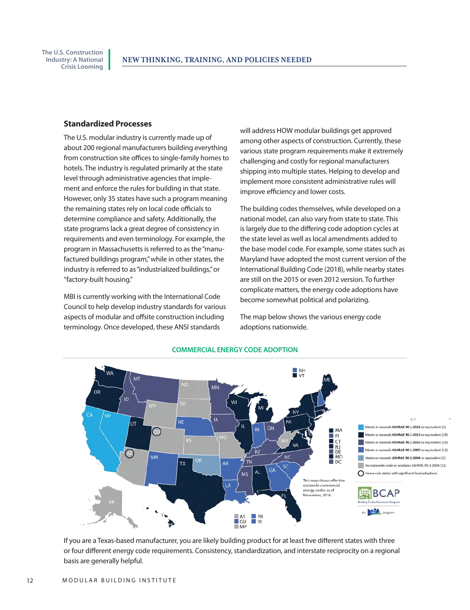## **Standardized Processes**

The U.S. modular industry is currently made up of about 200 regional manufacturers building everything from construction site offices to single-family homes to hotels. The industry is regulated primarily at the state level through administrative agencies that implement and enforce the rules for building in that state. However, only 35 states have such a program meaning the remaining states rely on local code officials to determine compliance and safety. Additionally, the state programs lack a great degree of consistency in requirements and even terminology. For example, the program in Massachusetts is referred to as the "manufactured buildings program," while in other states, the industry is referred to as "industrialized buildings," or "factory-built housing."

MBI is currently working with the International Code Council to help develop industry standards for various aspects of modular and offsite construction including terminology. Once developed, these ANSI standards

will address HOW modular buildings get approved among other aspects of construction. Currently, these various state program requirements make it extremely challenging and costly for regional manufacturers shipping into multiple states. Helping to develop and implement more consistent administrative rules will improve efficiency and lower costs.

The building codes themselves, while developed on a national model, can also vary from state to state. This is largely due to the differing code adoption cycles at the state level as well as local amendments added to the base model code. For example, some states such as Maryland have adopted the most current version of the International Building Code (2018), while nearby states are still on the 2015 or even 2012 version. To further complicate matters, the energy code adoptions have become somewhat political and polarizing.

The map below shows the various energy code adoptions nationwide.



#### **COMMERCIAL ENERGY CODE ADOPTION**

If you are a Texas-based manufacturer, you are likely building product for at least five different states with three or four different energy code requirements. Consistency, standardization, and interstate reciprocity on a regional basis are generally helpful.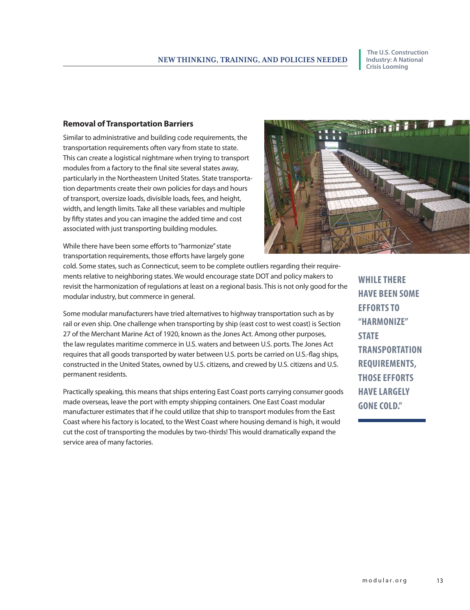## **Removal of Transportation Barriers**

Similar to administrative and building code requirements, the transportation requirements often vary from state to state. This can create a logistical nightmare when trying to transport modules from a factory to the final site several states away, particularly in the Northeastern United States. State transportation departments create their own policies for days and hours of transport, oversize loads, divisible loads, fees, and height, width, and length limits. Take all these variables and multiple by fifty states and you can imagine the added time and cost associated with just transporting building modules.

While there have been some efforts to "harmonize" state transportation requirements, those efforts have largely gone

modular industry, but commerce in general.

cold. Some states, such as Connecticut, seem to be complete outliers regarding their requirements relative to neighboring states. We would encourage state DOT and policy makers to revisit the harmonization of regulations at least on a regional basis. This is not only good for the

Some modular manufacturers have tried alternatives to highway transportation such as by rail or even ship. One challenge when transporting by ship (east cost to west coast) is Section 27 of the Merchant Marine Act of 1920, known as the Jones Act. Among other purposes, the law regulates maritime commerce in U.S. waters and between U.S. ports. The Jones Act requires that all goods transported by water between U.S. ports be carried on U.S.-flag ships, constructed in the United States, owned by U.S. citizens, and crewed by U.S. citizens and U.S. permanent residents.

Practically speaking, this means that ships entering East Coast ports carrying consumer goods made overseas, leave the port with empty shipping containers. One East Coast modular manufacturer estimates that if he could utilize that ship to transport modules from the East Coast where his factory is located, to the West Coast where housing demand is high, it would cut the cost of transporting the modules by two-thirds! This would dramatically expand the service area of many factories.

**WHILE THERE HAVE BEEN SOME EFFORTS TO "HARMONIZE" STATE TRANSPORTATION REQUIREMENTS, THOSE EFFORTS HAVE LARGELY GONE COLD."**

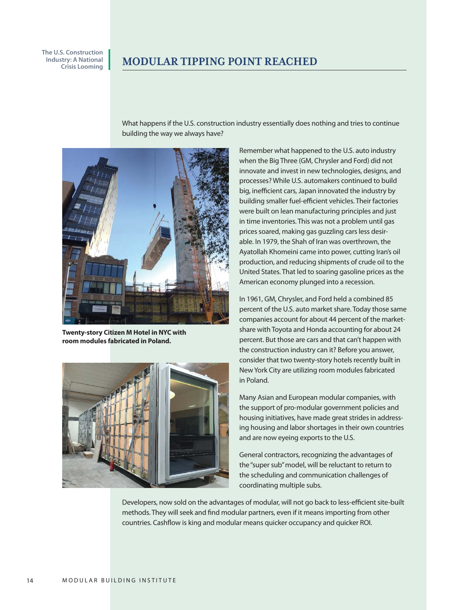## MODULAR TIPPING POINT REACHED

What happens if the U.S. construction industry essentially does nothing and tries to continue building the way we always have?



**Twenty-story Citizen M Hotel in NYC with room modules fabricated in Poland.**



Remember what happened to the U.S. auto industry when the Big Three (GM, Chrysler and Ford) did not innovate and invest in new technologies, designs, and processes? While U.S. automakers continued to build big, inefficient cars, Japan innovated the industry by building smaller fuel-efficient vehicles. Their factories were built on lean manufacturing principles and just in time inventories. This was not a problem until gas prices soared, making gas guzzling cars less desirable. In 1979, the Shah of Iran was overthrown, the Ayatollah Khomeini came into power, cutting Iran's oil production, and reducing shipments of crude oil to the United States. That led to soaring gasoline prices as the American economy plunged into a recession.

In 1961, GM, Chrysler, and Ford held a combined 85 percent of the U.S. auto market share. Today those same companies account for about 44 percent of the marketshare with Toyota and Honda accounting for about 24 percent. But those are cars and that can't happen with the construction industry can it? Before you answer, consider that two twenty-story hotels recently built in New York City are utilizing room modules fabricated in Poland.

Many Asian and European modular companies, with the support of pro-modular government policies and housing initiatives, have made great strides in addressing housing and labor shortages in their own countries and are now eyeing exports to the U.S.

General contractors, recognizing the advantages of the "super sub" model, will be reluctant to return to the scheduling and communication challenges of coordinating multiple subs.

Developers, now sold on the advantages of modular, will not go back to less-efficient site-built methods. They will seek and find modular partners, even if it means importing from other countries. Cashflow is king and modular means quicker occupancy and quicker ROI.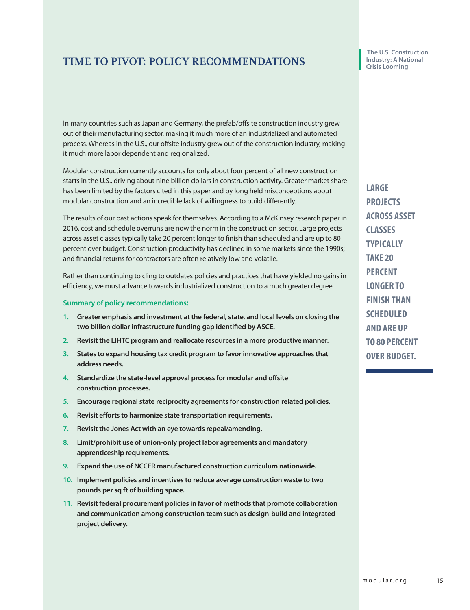# TIME TO PIVOT: POLICY RECOMMENDATIONS

In many countries such as Japan and Germany, the prefab/offsite construction industry grew out of their manufacturing sector, making it much more of an industrialized and automated process. Whereas in the U.S., our offsite industry grew out of the construction industry, making it much more labor dependent and regionalized.

Modular construction currently accounts for only about four percent of all new construction starts in the U.S., driving about nine billion dollars in construction activity. Greater market share has been limited by the factors cited in this paper and by long held misconceptions about modular construction and an incredible lack of willingness to build differently.

The results of our past actions speak for themselves. According to a McKinsey research paper in 2016, cost and schedule overruns are now the norm in the construction sector. Large projects across asset classes typically take 20 percent longer to finish than scheduled and are up to 80 percent over budget. Construction productivity has declined in some markets since the 1990s; and financial returns for contractors are often relatively low and volatile.

Rather than continuing to cling to outdates policies and practices that have yielded no gains in efficiency, we must advance towards industrialized construction to a much greater degree.

## **Summary of policy recommendations:**

- **1. Greater emphasis and investment at the federal, state, and local levels on closing the two billion dollar infrastructure funding gap identified by ASCE.**
- **2. Revisit the LIHTC program and reallocate resources in a more productive manner.**
- **3. States to expand housing tax credit program to favor innovative approaches that address needs.**
- **4. Standardize the state-level approval process for modular and offsite construction processes.**
- **5. Encourage regional state reciprocity agreements for construction related policies.**
- **6. Revisit efforts to harmonize state transportation requirements.**
- **7. Revisit the Jones Act with an eye towards repeal/amending.**
- **8. Limit/prohibit use of union-only project labor agreements and mandatory apprenticeship requirements.**
- **9. Expand the use of NCCER manufactured construction curriculum nationwide.**
- **10. Implement policies and incentives to reduce average construction waste to two pounds per sq ft of building space.**
- **11. Revisit federal procurement policies in favor of methods that promote collaboration and communication among construction team such as design-build and integrated project delivery.**

 **The U.S. Construction Industry: A National Crisis Looming**

**LARGE PROJECTS ACROSS ASSET CLASSES TYPICALLY TAKE 20 PERCENT LONGER TO FINISH THAN SCHEDULED AND ARE UP TO 80 PERCENT OVER BUDGET.**